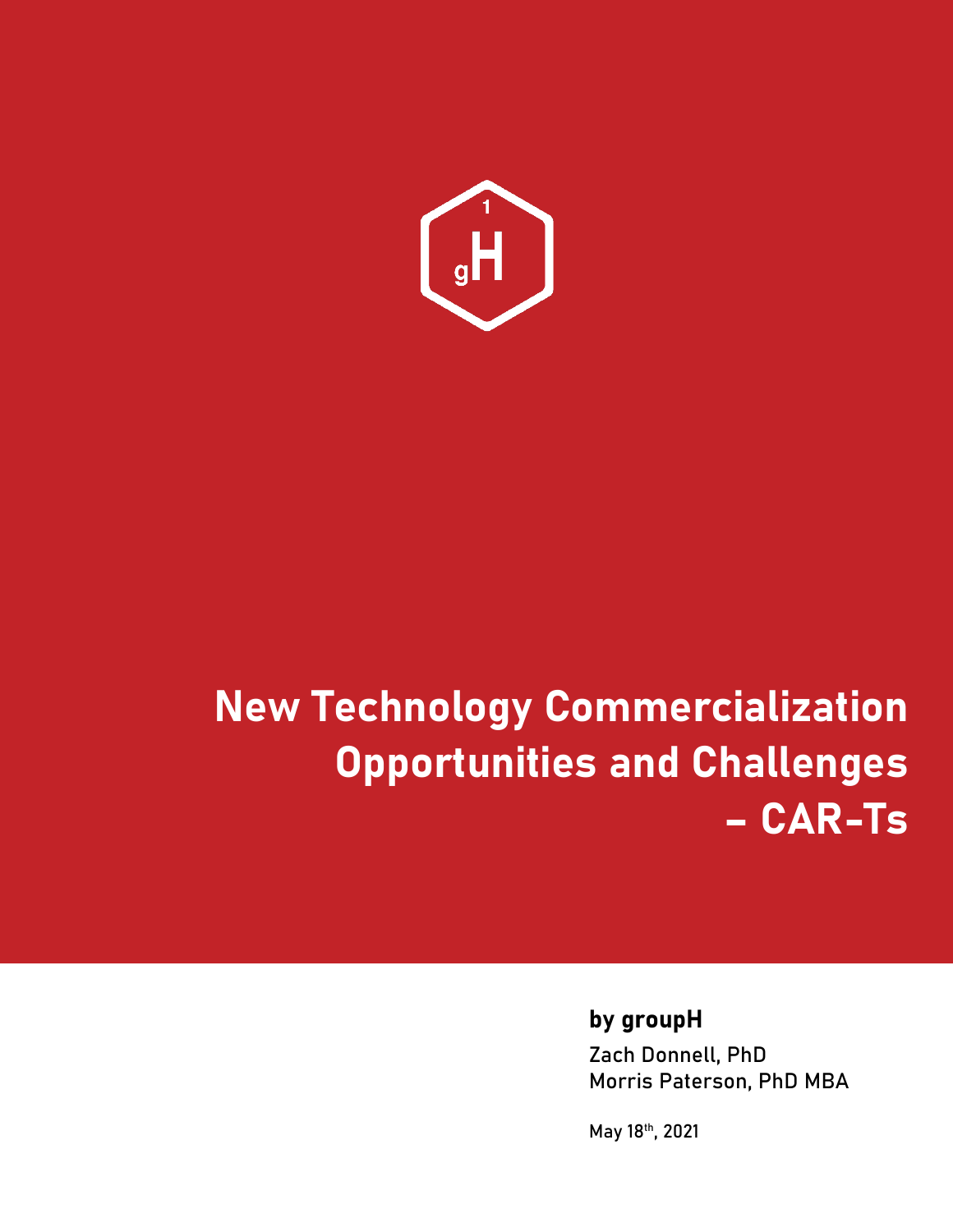

# **New Technology Commercialization Opportunities and Challenges – CAR-Ts**

### **by groupH**

Zach Donnell, PhD Morris Paterson, PhD MBA

May 18th, 2021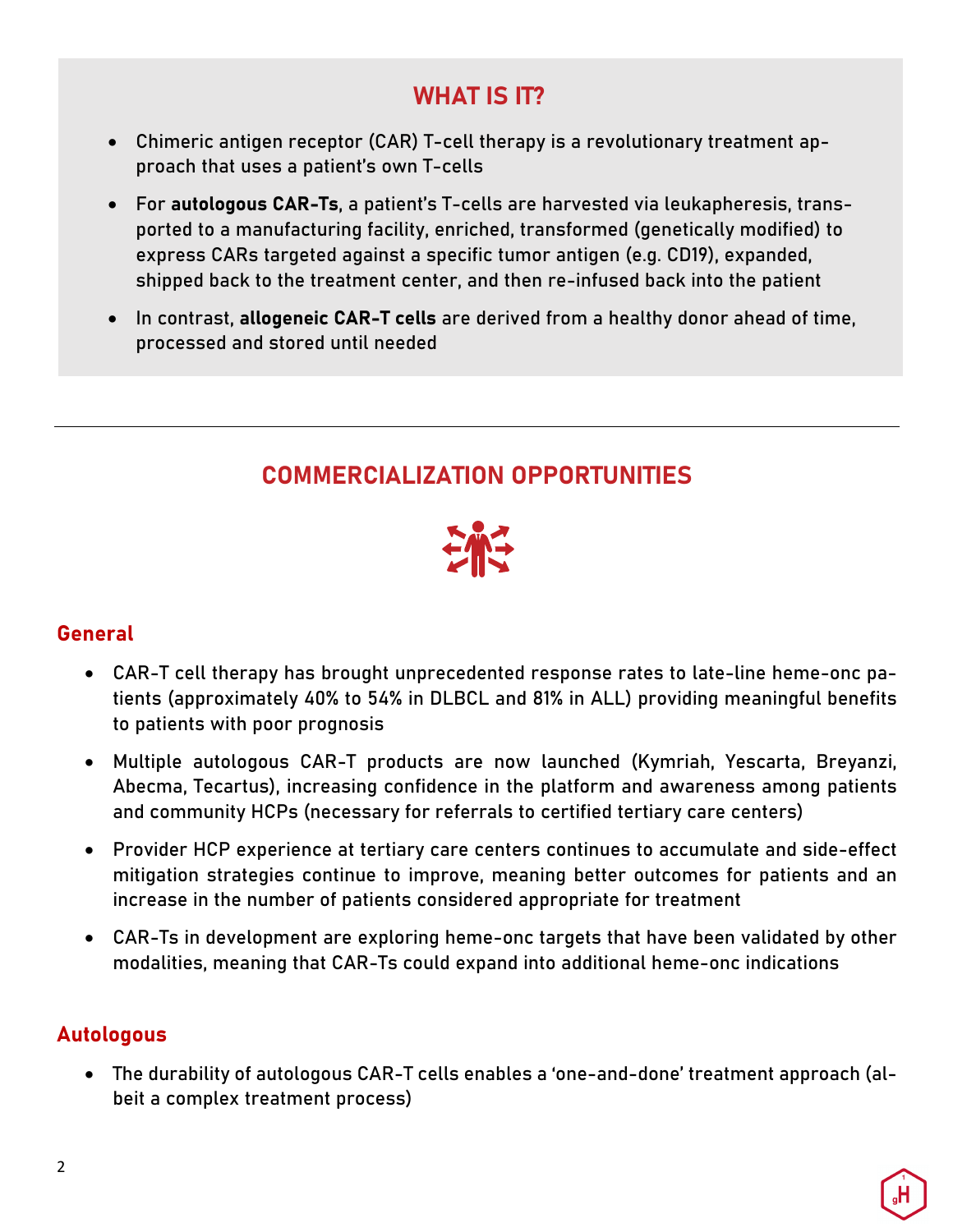## **WHAT IS IT?**

- Chimeric antigen receptor (CAR) T-cell therapy is a revolutionary treatment approach that uses a patient's own T-cells
- For **autologous CAR-Ts**, a patient's T-cells are harvested via leukapheresis, transported to a manufacturing facility, enriched, transformed (genetically modified) to express CARs targeted against a specific tumor antigen (e.g. CD19), expanded, shipped back to the treatment center, and then re-infused back into the patient
- In contrast, **allogeneic CAR-T cells** are derived from a healthy donor ahead of time, processed and stored until needed

# **COMMERCIALIZATION OPPORTUNITIES**



#### **General**

- CAR-T cell therapy has brought unprecedented response rates to late-line heme-onc patients (approximately 40% to 54% in DLBCL and 81% in ALL) providing meaningful benefits to patients with poor prognosis
- Multiple autologous CAR-T products are now launched (Kymriah, Yescarta, Breyanzi, Abecma, Tecartus), increasing confidence in the platform and awareness among patients and community HCPs (necessary for referrals to certified tertiary care centers)
- Provider HCP experience at tertiary care centers continues to accumulate and side-effect mitigation strategies continue to improve, meaning better outcomes for patients and an increase in the number of patients considered appropriate for treatment
- CAR-Ts in development are exploring heme-onc targets that have been validated by other modalities, meaning that CAR-Ts could expand into additional heme-onc indications

#### **Autologous**

• The durability of autologous CAR-T cells enables a 'one-and-done' treatment approach (albeit a complex treatment process)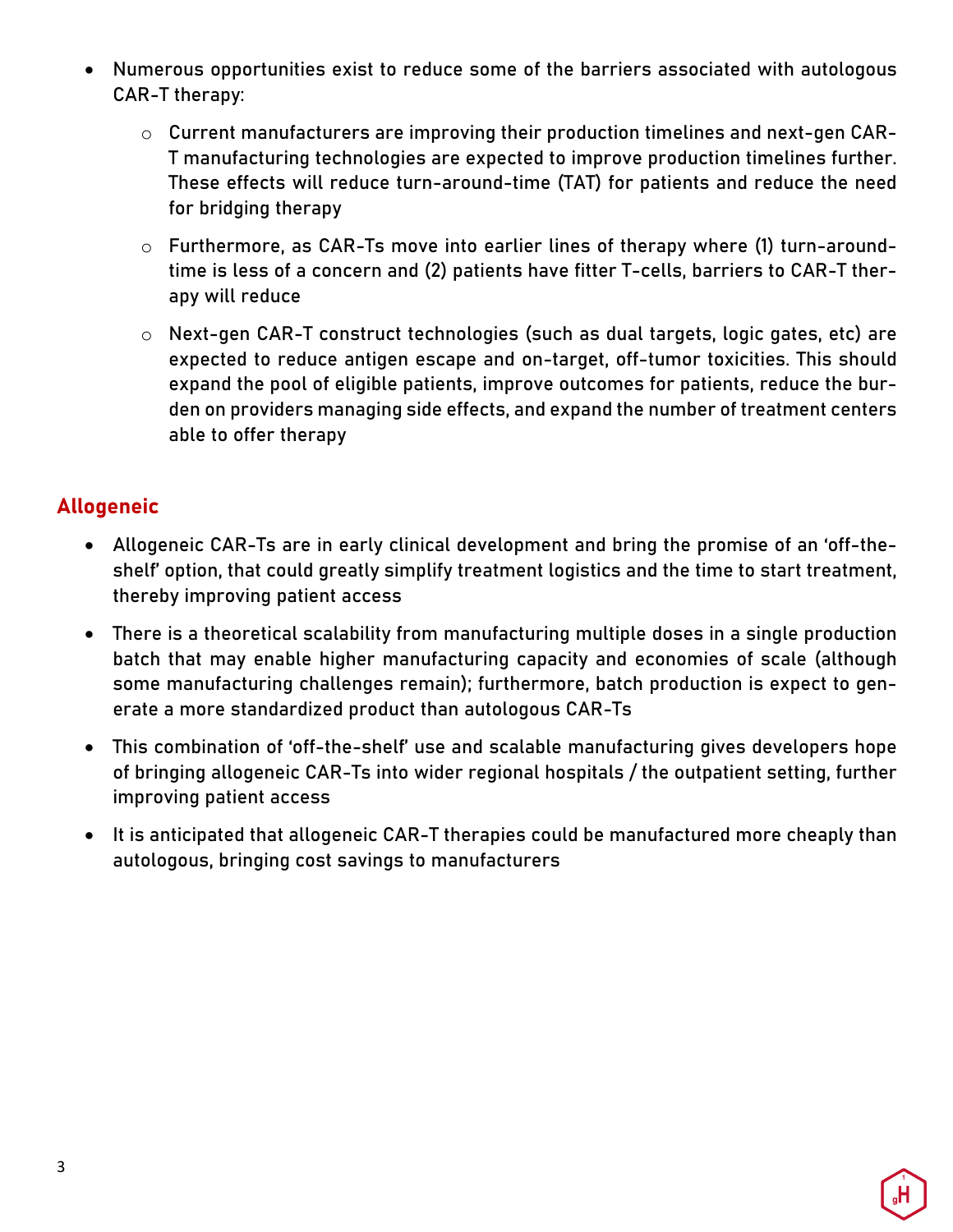- Numerous opportunities exist to reduce some of the barriers associated with autologous CAR-T therapy:
	- o Current manufacturers are improving their production timelines and next-gen CAR-T manufacturing technologies are expected to improve production timelines further. These effects will reduce turn-around-time (TAT) for patients and reduce the need for bridging therapy
	- o Furthermore, as CAR-Ts move into earlier lines of therapy where (1) turn-aroundtime is less of a concern and (2) patients have fitter T-cells, barriers to CAR-T therapy will reduce
	- o Next-gen CAR-T construct technologies (such as dual targets, logic gates, etc) are expected to reduce antigen escape and on-target, off-tumor toxicities. This should expand the pool of eligible patients, improve outcomes for patients, reduce the burden on providers managing side effects, and expand the number of treatment centers able to offer therapy

#### **Allogeneic**

- Allogeneic CAR-Ts are in early clinical development and bring the promise of an 'off-theshelf' option, that could greatly simplify treatment logistics and the time to start treatment, thereby improving patient access
- There is a theoretical scalability from manufacturing multiple doses in a single production batch that may enable higher manufacturing capacity and economies of scale (although some manufacturing challenges remain); furthermore, batch production is expect to generate a more standardized product than autologous CAR-Ts
- This combination of 'off-the-shelf' use and scalable manufacturing gives developers hope of bringing allogeneic CAR-Ts into wider regional hospitals / the outpatient setting, further improving patient access
- It is anticipated that allogeneic CAR-T therapies could be manufactured more cheaply than autologous, bringing cost savings to manufacturers

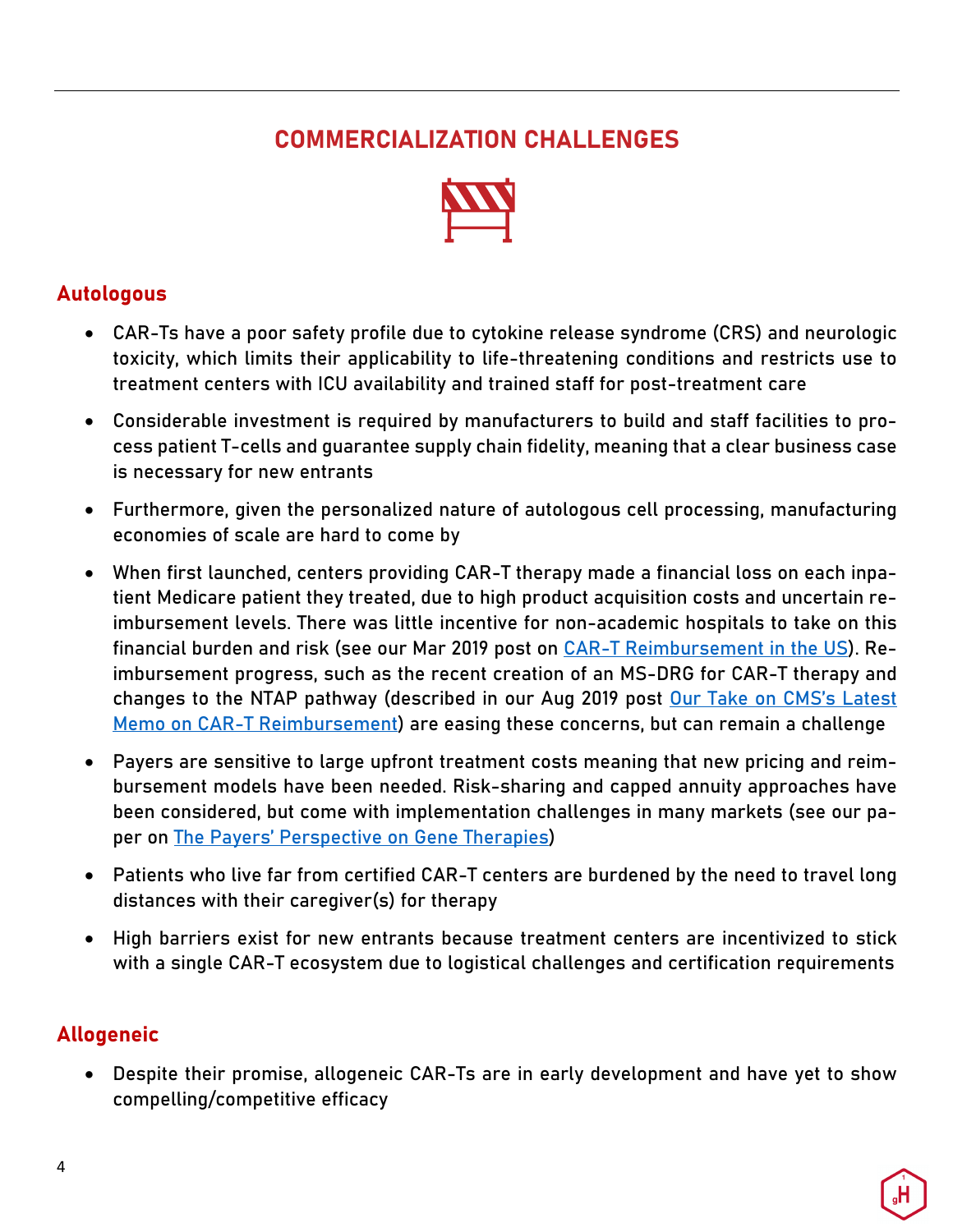# **COMMERCIALIZATION CHALLENGES**



#### **Autologous**

- CAR-Ts have a poor safety profile due to cytokine release syndrome (CRS) and neurologic toxicity, which limits their applicability to life-threatening conditions and restricts use to treatment centers with ICU availability and trained staff for post-treatment care
- Considerable investment is required by manufacturers to build and staff facilities to process patient T-cells and guarantee supply chain fidelity, meaning that a clear business case is necessary for new entrants
- Furthermore, given the personalized nature of autologous cell processing, manufacturing economies of scale are hard to come by
- When first launched, centers providing CAR-T therapy made a financial loss on each inpatient Medicare patient they treated, due to high product acquisition costs and uncertain reimbursement levels. There was little incentive for non-academic hospitals to take on this financial burden and risk (see our Mar 2019 post on CAR-T Reimbursement in the US). Reimbursement progress, such as the recent creation of an MS-DRG for CAR-T therapy and changes to the NTAP pathway (described in our Aug 2019 post Our Take on CMS's Latest Memo on CAR-T Reimbursement) are easing these concerns, but can remain a challenge
- Payers are sensitive to large upfront treatment costs meaning that new pricing and reimbursement models have been needed. Risk-sharing and capped annuity approaches have been considered, but come with implementation challenges in many markets (see our paper on The Payers' Perspective on Gene Therapies)
- Patients who live far from certified CAR-T centers are burdened by the need to travel long distances with their caregiver(s) for therapy
- High barriers exist for new entrants because treatment centers are incentivized to stick with a single CAR-T ecosystem due to logistical challenges and certification requirements

#### **Allogeneic**

• Despite their promise, allogeneic CAR-Ts are in early development and have yet to show compelling/competitive efficacy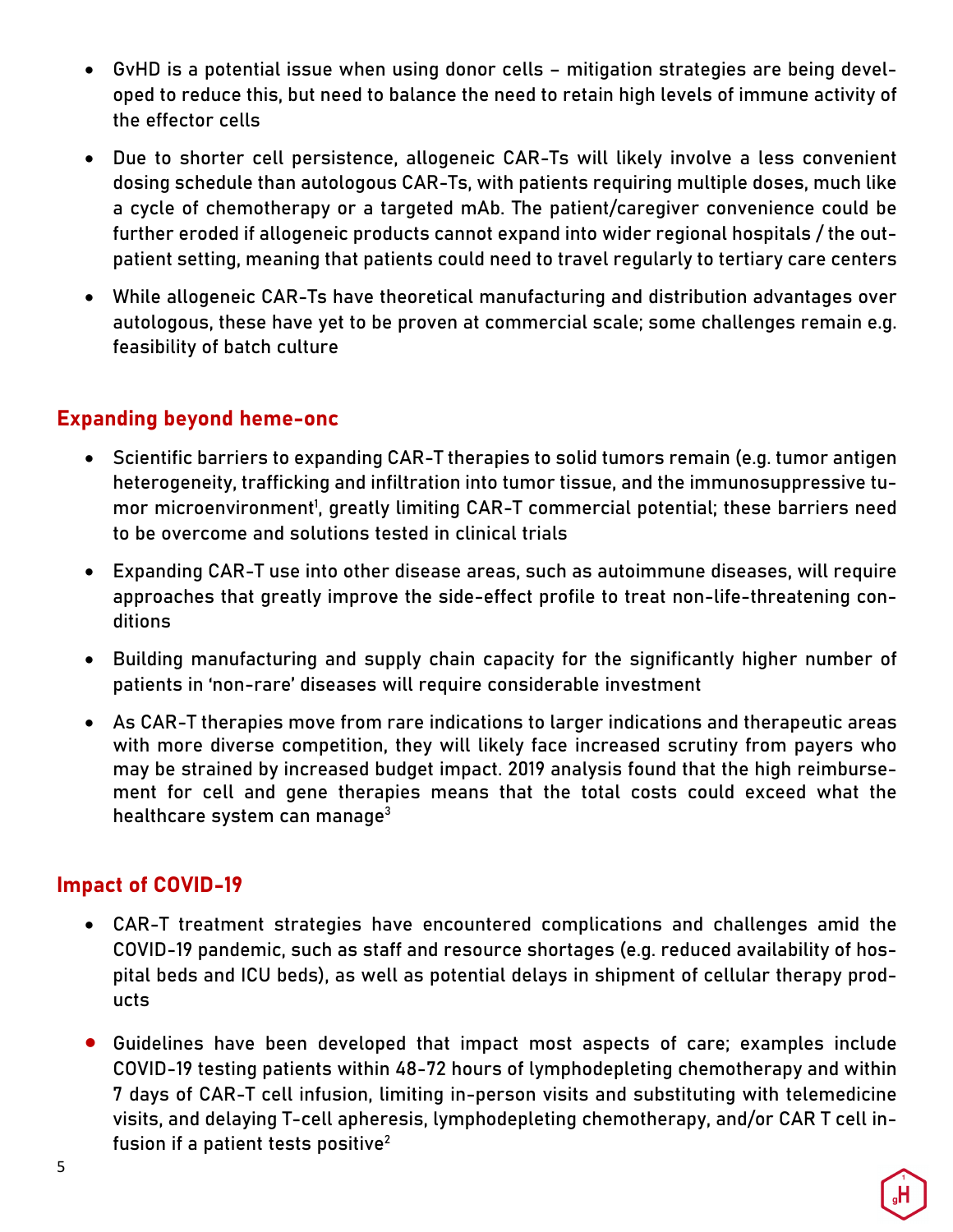- GvHD is a potential issue when using donor cells mitigation strategies are being developed to reduce this, but need to balance the need to retain high levels of immune activity of the effector cells
- Due to shorter cell persistence, allogeneic CAR-Ts will likely involve a less convenient dosing schedule than autologous CAR-Ts, with patients requiring multiple doses, much like a cycle of chemotherapy or a targeted mAb. The patient/caregiver convenience could be further eroded if allogeneic products cannot expand into wider regional hospitals / the outpatient setting, meaning that patients could need to travel regularly to tertiary care centers
- While allogeneic CAR-Ts have theoretical manufacturing and distribution advantages over autologous, these have yet to be proven at commercial scale; some challenges remain e.g. feasibility of batch culture

#### **Expanding beyond heme-onc**

- Scientific barriers to expanding CAR-T therapies to solid tumors remain (e.g. tumor antigen heterogeneity, trafficking and infiltration into tumor tissue, and the immunosuppressive tumor microenvironment<sup>1</sup>, greatly limiting CAR-T commercial potential; these barriers need to be overcome and solutions tested in clinical trials
- Expanding CAR-T use into other disease areas, such as autoimmune diseases, will require approaches that greatly improve the side-effect profile to treat non-life-threatening conditions
- Building manufacturing and supply chain capacity for the significantly higher number of patients in 'non-rare' diseases will require considerable investment
- As CAR-T therapies move from rare indications to larger indications and therapeutic areas with more diverse competition, they will likely face increased scrutiny from payers who may be strained by increased budget impact. 2019 analysis found that the high reimbursement for cell and gene therapies means that the total costs could exceed what the healthcare system can manage $3$

#### **Impact of COVID-19**

- CAR-T treatment strategies have encountered complications and challenges amid the COVID-19 pandemic, such as staff and resource shortages (e.g. reduced availability of hospital beds and ICU beds), as well as potential delays in shipment of cellular therapy products
- Guidelines have been developed that impact most aspects of care; examples include COVID-19 testing patients within 48-72 hours of lymphodepleting chemotherapy and within 7 days of CAR-T cell infusion, limiting in-person visits and substituting with telemedicine visits, and delaying T-cell apheresis, lymphodepleting chemotherapy, and/or CAR T cell infusion if a patient tests positive $2$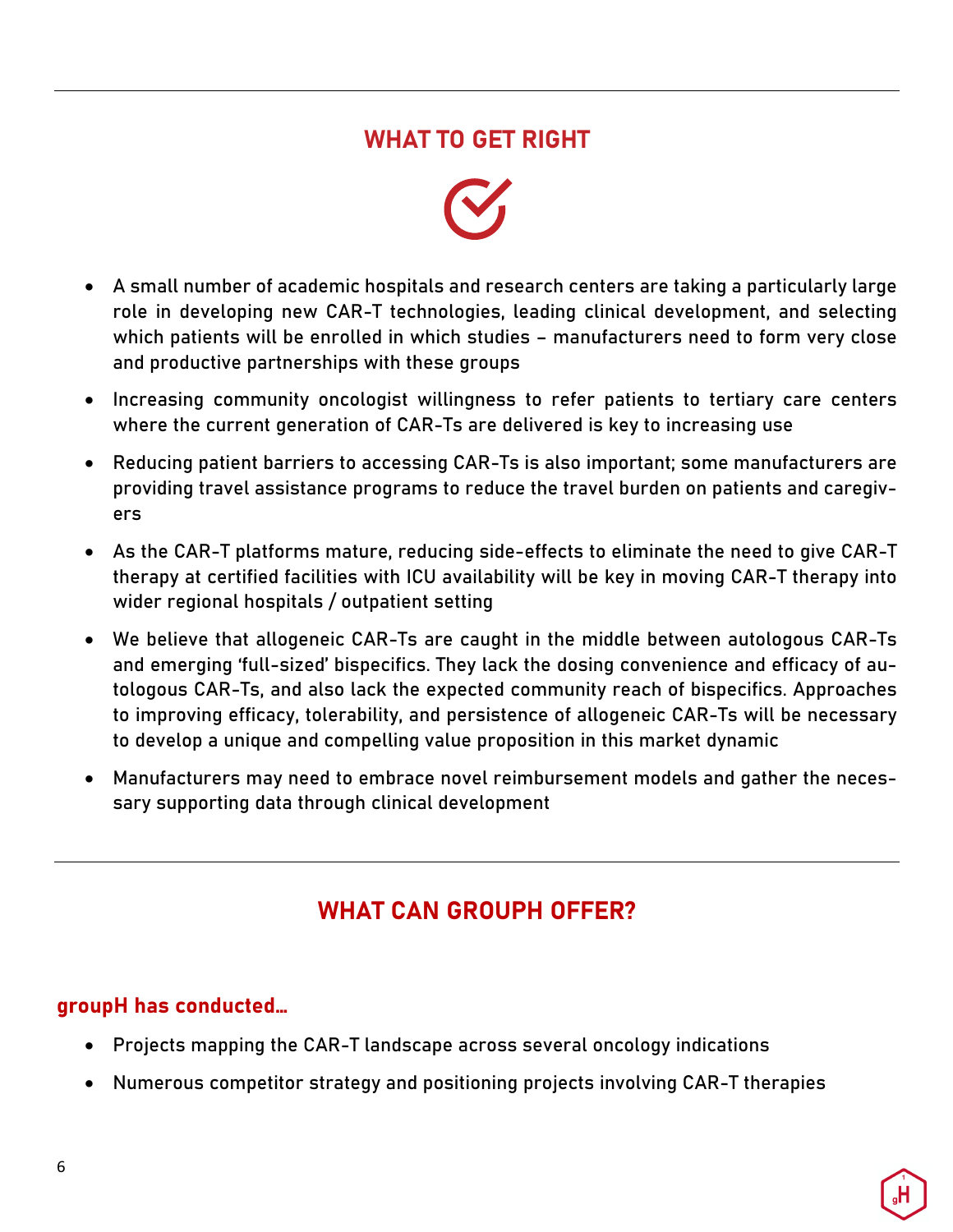## **WHAT TO GET RIGHT**



- A small number of academic hospitals and research centers are taking a particularly large role in developing new CAR-T technologies, leading clinical development, and selecting which patients will be enrolled in which studies – manufacturers need to form very close and productive partnerships with these groups
- Increasing community oncologist willingness to refer patients to tertiary care centers where the current generation of CAR-Ts are delivered is key to increasing use
- Reducing patient barriers to accessing CAR-Ts is also important; some manufacturers are providing travel assistance programs to reduce the travel burden on patients and caregivers
- As the CAR-T platforms mature, reducing side-effects to eliminate the need to give CAR-T therapy at certified facilities with ICU availability will be key in moving CAR-T therapy into wider regional hospitals / outpatient setting
- We believe that allogeneic CAR-Ts are caught in the middle between autologous CAR-Ts and emerging 'full-sized' bispecifics. They lack the dosing convenience and efficacy of autologous CAR-Ts, and also lack the expected community reach of bispecifics. Approaches to improving efficacy, tolerability, and persistence of allogeneic CAR-Ts will be necessary to develop a unique and compelling value proposition in this market dynamic
- Manufacturers may need to embrace novel reimbursement models and gather the necessary supporting data through clinical development

# **WHAT CAN GROUPH OFFER?**

#### **groupH has conducted…**

- Projects mapping the CAR-T landscape across several oncology indications
- Numerous competitor strategy and positioning projects involving CAR-T therapies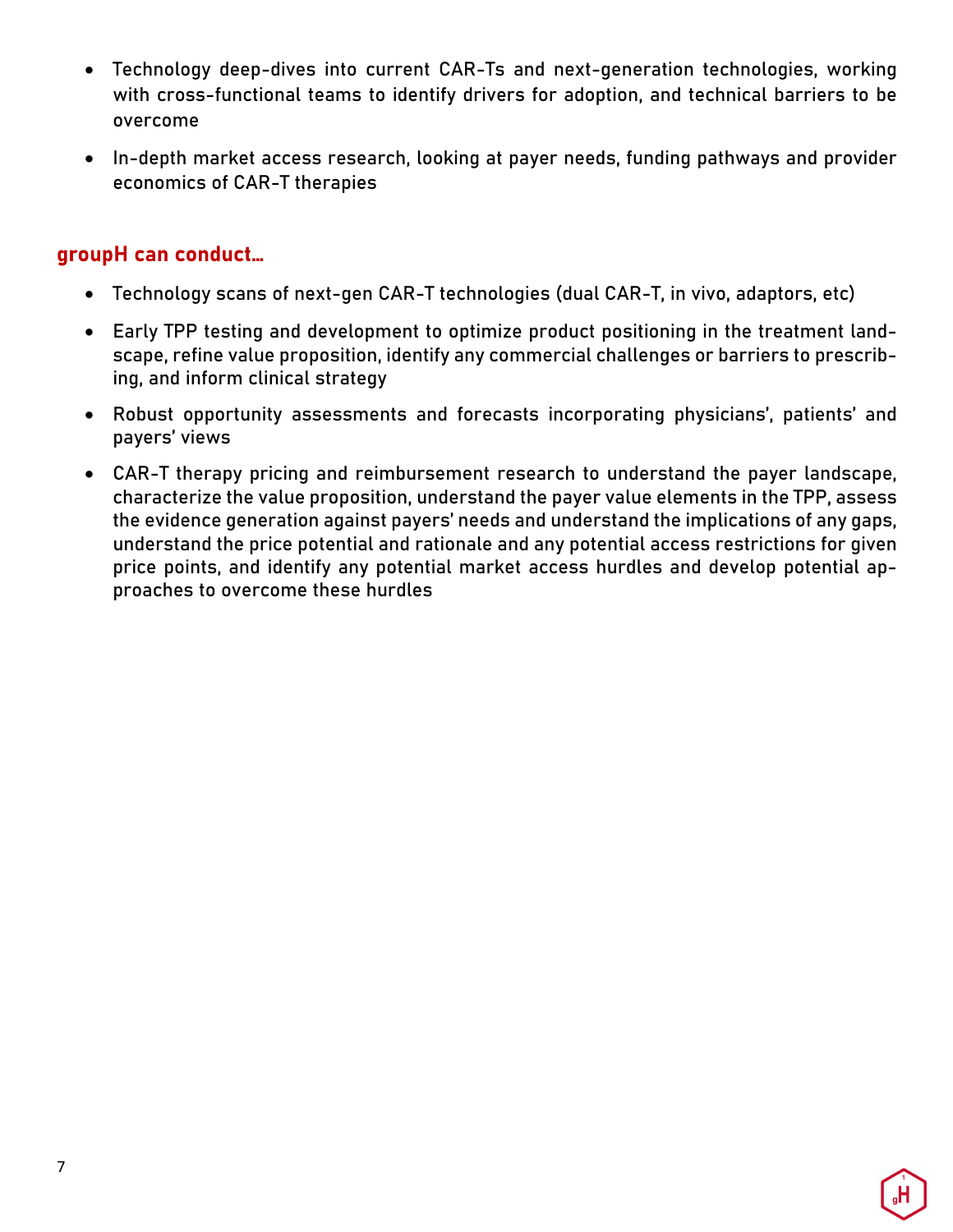- Technology deep-dives into current CAR-Ts and next-generation technologies, working with cross-functional teams to identify drivers for adoption, and technical barriers to be overcome
- In-depth market access research, looking at payer needs, funding pathways and provider economics of CAR-T therapies

#### **groupH can conduct…**

- Technology scans of next-gen CAR-T technologies (dual CAR-T, in vivo, adaptors, etc)
- Early TPP testing and development to optimize product positioning in the treatment landscape, refine value proposition, identify any commercial challenges or barriers to prescribing, and inform clinical strategy
- Robust opportunity assessments and forecasts incorporating physicians', patients' and payers' views
- CAR-T therapy pricing and reimbursement research to understand the payer landscape, characterize the value proposition, understand the payer value elements in the TPP, assess the evidence generation against payers' needs and understand the implications of any gaps, understand the price potential and rationale and any potential access restrictions for given price points, and identify any potential market access hurdles and develop potential approaches to overcome these hurdles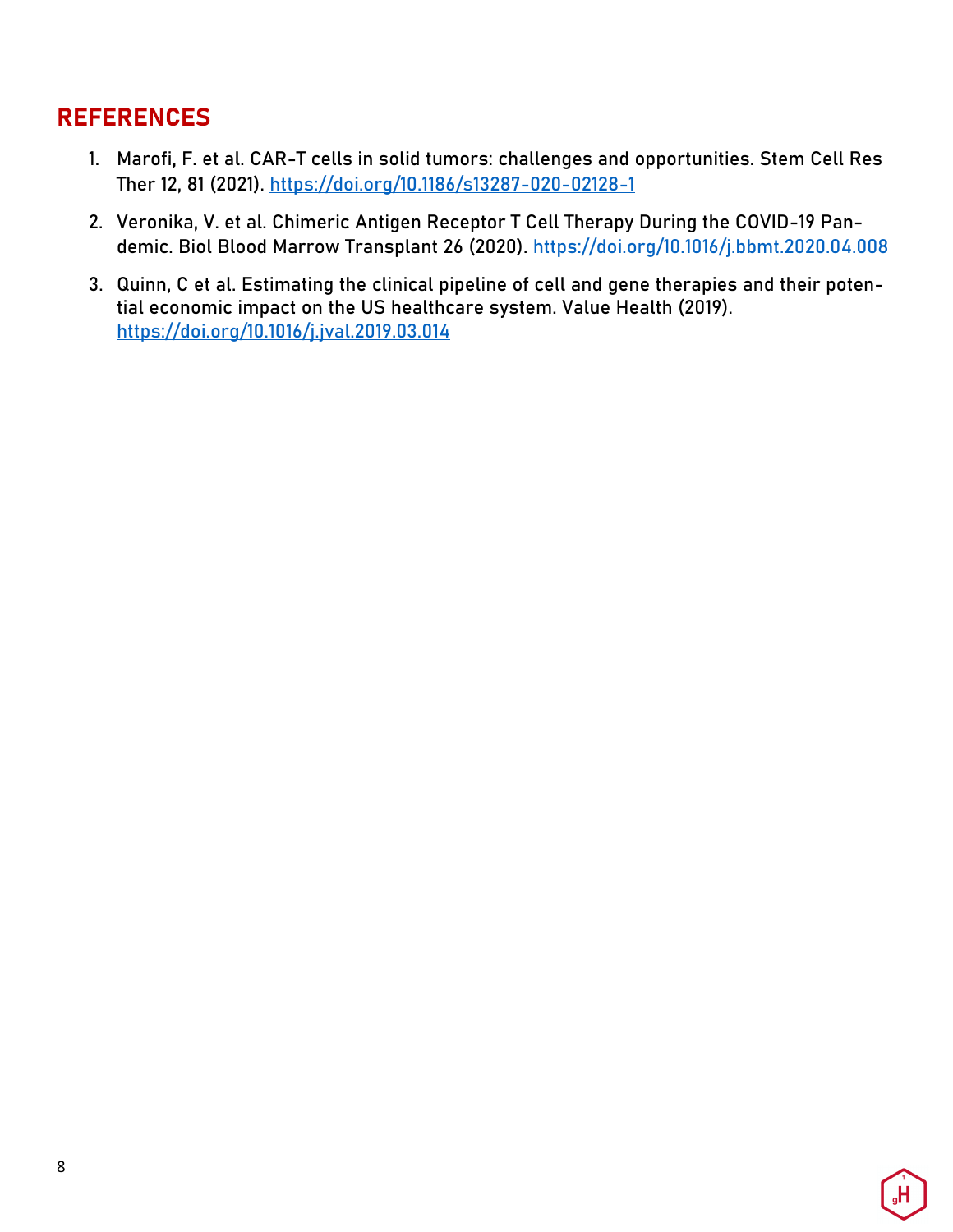## **REFERENCES**

- 1. Marofi, F. et al. CAR-T cells in solid tumors: challenges and opportunities. Stem Cell Res Ther 12, 81 (2021). https://doi.org/10.1186/s13287-020-02128-1
- 2. Veronika, V. et al. Chimeric Antigen Receptor T Cell Therapy During the COVID-19 Pandemic. Biol Blood Marrow Transplant 26 (2020). https://doi.org/10.1016/j.bbmt.2020.04.008
- 3. Quinn, C et al. Estimating the clinical pipeline of cell and gene therapies and their potential economic impact on the US healthcare system. Value Health (2019). https://doi.org/10.1016/j.jval.2019.03.014